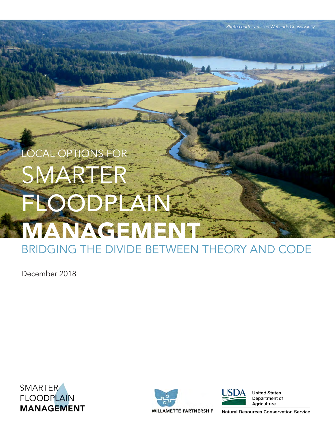# OCAL OPTIONS FO SMARTE FLOODPLAI WANAGEMEN

BRIDGING THE DIVIDE BETWEEN THEORY AND CODE

December 2018

SMARTER **FLOODPLAIN MANAGEMENT** 





**United States** Department of Agriculture

*Photo courtesy of The Wetlands Conservancy*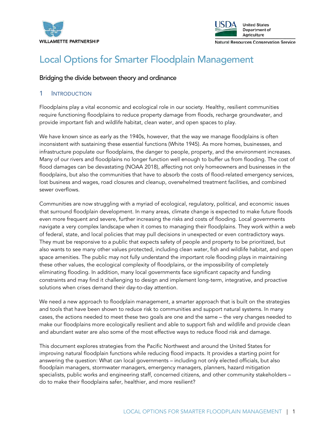



## Local Options for Smarter Floodplain Management

#### Bridging the divide between theory and ordinance

#### 1 INTRODUCTION

Floodplains play a vital economic and ecological role in our society. Healthy, resilient communities require functioning floodplains to reduce property damage from floods, recharge groundwater, and provide important fish and wildlife habitat, clean water, and open spaces to play.

We have known since as early as the 1940s, however, that the way we manage floodplains is often inconsistent with sustaining these essential functions (White 1945). As more homes, businesses, and infrastructure populate our floodplains, the danger to people, property, and the environment increases. Many of our rivers and floodplains no longer function well enough to buffer us from flooding. The cost of flood damages can be devastating (NOAA 2018), affecting not only homeowners and businesses in the floodplains, but also the communities that have to absorb the costs of flood-related emergency services, lost business and wages, road closures and cleanup, overwhelmed treatment facilities, and combined sewer overflows.

Communities are now struggling with a myriad of ecological, regulatory, political, and economic issues that surround floodplain development. In many areas, climate change is expected to make future floods even more frequent and severe, further increasing the risks and costs of flooding. Local governments navigate a very complex landscape when it comes to managing their floodplains. They work within a web of federal, state, and local policies that may pull decisions in unexpected or even contradictory ways. They must be responsive to a public that expects safety of people and property to be prioritized, but also wants to see many other values protected, including clean water, fish and wildlife habitat, and open space amenities. The public may not fully understand the important role flooding plays in maintaining these other values, the ecological complexity of floodplains, or the impossibility of completely eliminating flooding. In addition, many local governments face significant capacity and funding constraints and may find it challenging to design and implement long-term, integrative, and proactive solutions when crises demand their day-to-day attention.

We need a new approach to floodplain management, a smarter approach that is built on the strategies and tools that have been shown to reduce risk to communities and support natural systems. In many cases, the actions needed to meet these two goals are one and the same – the very changes needed to make our floodplains more ecologically resilient and able to support fish and wildlife and provide clean and abundant water are also some of the most effective ways to reduce flood risk and damage.

This document explores strategies from the Pacific Northwest and around the United States for improving natural floodplain functions while reducing flood impacts. It provides a starting point for answering the question: What can local governments – including not only elected officials, but also floodplain managers, stormwater managers, emergency managers, planners, hazard mitigation specialists, public works and engineering staff, concerned citizens, and other community stakeholders – do to make their floodplains safer, healthier, and more resilient?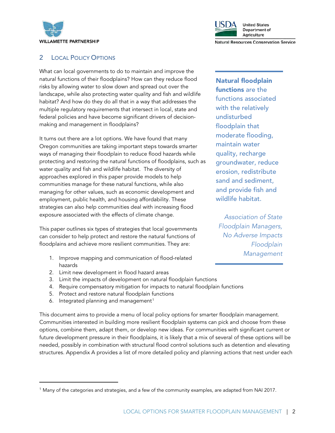



#### 2 LOCAL POLICY OPTIONS

What can local governments to do to maintain and improve the natural functions of their floodplains? How can they reduce flood risks by allowing water to slow down and spread out over the landscape, while also protecting water quality and fish and wildlife habitat? And how do they do all that in a way that addresses the multiple regulatory requirements that intersect in local, state and federal policies and have become significant drivers of decisionmaking and management in floodplains?

It turns out there are a lot options. We have found that many Oregon communities are taking important steps towards smarter ways of managing their floodplain to reduce flood hazards while protecting and restoring the natural functions of floodplains, such as water quality and fish and wildlife habitat. The diversity of approaches explored in this paper provide models to help communities manage for these natural functions, while also managing for other values, such as economic development and employment, public health, and housing affordability. These strategies can also help communities deal with increasing flood exposure associated with the effects of climate change.

This paper outlines six types of strategies that local governments can consider to help protect and restore the natural functions of floodplains and achieve more resilient communities. They are:

- 1. Improve mapping and communication of flood-related hazards
- 2. Limit new development in flood hazard areas
- 3. Limit the impacts of development on natural floodplain functions
- 4. Require compensatory mitigation for impacts to natural floodplain functions
- 5. Protect and restore natural floodplain functions
- 6. Integrated planning and management<sup>[1](#page-2-0)</sup>

 $\overline{a}$ 

This document aims to provide a menu of local policy options for smarter floodplain management. Communities interested in building more resilient floodplain systems can pick and choose from these options, combine them, adapt them, or develop new ideas. For communities with significant current or future development pressure in their floodplains, it is likely that a mix of several of these options will be needed, possibly in combination with structural flood control solutions such as detention and elevating structures. Appendix A provides a list of more detailed policy and planning actions that nest under each

Natural floodplain functions are the functions associated with the relatively undisturbed floodplain that moderate flooding, maintain water quality, recharge groundwater, reduce erosion, redistribute sand and sediment, and provide fish and wildlife habitat.

*Association of State Floodplain Managers, No Adverse Impacts Floodplain Management*

<span id="page-2-0"></span><sup>1</sup> Many of the categories and strategies, and a few of the community examples, are adapted from NAI 2017.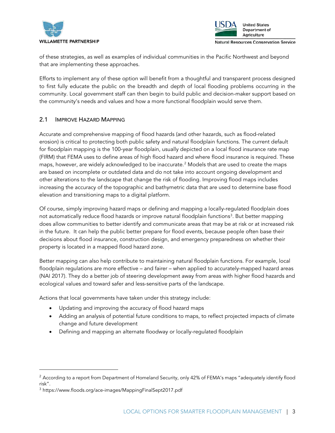



of these strategies, as well as examples of individual communities in the Pacific Northwest and beyond that are implementing these approaches.

Efforts to implement any of these option will benefit from a thoughtful and transparent process designed to first fully educate the public on the breadth and depth of local flooding problems occurring in the community. Local government staff can then begin to build public and decision-maker support based on the community's needs and values and how a more functional floodplain would serve them.

#### 2.1 IMPROVE HAZARD MAPPING

Accurate and comprehensive mapping of flood hazards (and other hazards, such as flood-related erosion) is critical to protecting both public safety and natural floodplain functions. The current default for floodplain mapping is the 100-year floodplain, usually depicted on a local flood insurance rate map (FIRM) that FEMA uses to define areas of high flood hazard and where flood insurance is required. These maps, however, are widely acknowledged to be inaccurate.<sup>[2](#page-3-0)</sup> Models that are used to create the maps are based on incomplete or outdated data and do not take into account ongoing development and other alterations to the landscape that change the risk of flooding. Improving flood maps includes increasing the accuracy of the topographic and bathymetric data that are used to determine base flood elevation and transitioning maps to a digital platform.

Of course, simply improving hazard maps or defining and mapping a locally-regulated floodplain does not automatically reduce flood hazards or improve natural floodplain functions<sup>[3](#page-3-1)</sup>. But better mapping does allow communities to better identify and communicate areas that may be at risk or at increased risk in the future. It can help the public better prepare for flood events, because people often base their decisions about flood insurance, construction design, and emergency preparedness on whether their property is located in a mapped flood hazard zone.

Better mapping can also help contribute to maintaining natural floodplain functions. For example, local floodplain regulations are more effective – and fairer – when applied to accurately-mapped hazard areas (NAI 2017). They do a better job of steering development away from areas with higher flood hazards and ecological values and toward safer and less-sensitive parts of the landscape.

Actions that local governments have taken under this strategy include:

- Updating and improving the accuracy of flood hazard maps
- Adding an analysis of potential future conditions to maps, to reflect projected impacts of climate change and future development
- Defining and mapping an alternate floodway or locally-regulated floodplain

 $\overline{a}$ 

<span id="page-3-0"></span> $2$  According to a report from Department of Homeland Security, only 42% of FEMA's maps "adequately identify flood risk".

<span id="page-3-1"></span><sup>3</sup> https://www.floods.org/ace-images/MappingFinalSept2017.pdf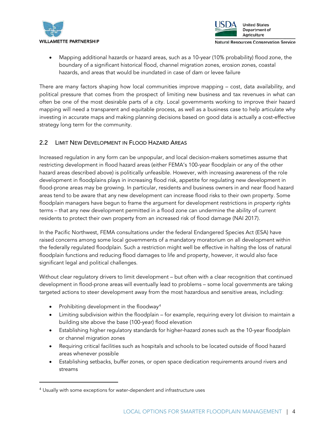



Mapping additional hazards or hazard areas, such as a 10-year (10% probability) flood zone, the boundary of a significant historical flood, channel migration zones, erosion zones, coastal hazards, and areas that would be inundated in case of dam or levee failure

There are many factors shaping how local communities improve mapping – cost, data availability, and political pressure that comes from the prospect of limiting new business and tax revenues in what can often be one of the most desirable parts of a city. Local governments working to improve their hazard mapping will need a transparent and equitable process, as well as a business case to help articulate why investing in accurate maps and making planning decisions based on good data is actually a cost-effective strategy long term for the community.

#### 2.2 LIMIT NEW DEVELOPMENT IN FLOOD HAZARD AREAS

Increased regulation in any form can be unpopular, and local decision-makers sometimes assume that restricting development in flood hazard areas (either FEMA's 100-year floodplain or any of the other hazard areas described above) is politically unfeasible. However, with increasing awareness of the role development in floodplains plays in increasing flood risk, appetite for regulating new development in flood-prone areas may be growing. In particular, residents and business owners in and near flood hazard areas tend to be aware that any new development can increase flood risks to their own property. Some floodplain managers have begun to frame the argument for development restrictions in *property rights* terms – that any new development permitted in a flood zone can undermine the ability of current residents to protect their own property from an increased risk of flood damage (NAI 2017).

In the Pacific Northwest, FEMA consultations under the federal Endangered Species Act (ESA) have raised concerns among some local governments of a mandatory moratorium on all development within the federally regulated floodplain. Such a restriction might well be effective in halting the loss of natural floodplain functions and reducing flood damages to life and property, however, it would also face significant legal and political challenges.

Without clear regulatory drivers to limit development – but often with a clear recognition that continued development in flood-prone areas will eventually lead to problems – some local governments are taking targeted actions to steer development away from the most hazardous and sensitive areas, including:

Prohibiting development in the floodway<sup>[4](#page-4-0)</sup>

 $\overline{a}$ 

- Limiting subdivision within the floodplain for example, requiring every lot division to maintain a building site above the base (100-year) flood elevation
- Establishing higher regulatory standards for higher-hazard zones such as the 10-year floodplain or channel migration zones
- Requiring critical facilities such as hospitals and schools to be located outside of flood hazard areas whenever possible
- Establishing setbacks, buffer zones, or open space dedication requirements around rivers and streams

<span id="page-4-0"></span><sup>&</sup>lt;sup>4</sup> Usually with some exceptions for water-dependent and infrastructure uses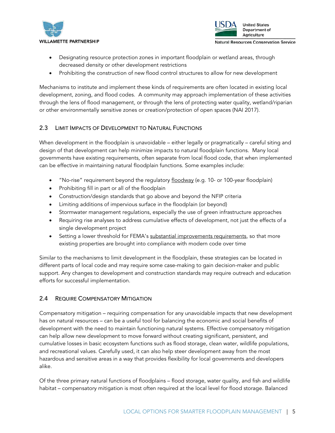



- Designating resource protection zones in important floodplain or wetland areas, through decreased density or other development restrictions
- Prohibiting the construction of new flood control structures to allow for new development

Mechanisms to institute and implement these kinds of requirements are often located in existing local development, zoning, and flood codes. A community may approach implementation of these activities through the lens of flood management, or through the lens of protecting water quality, wetland/riparian or other environmentally sensitive zones or creation/protection of open spaces (NAI 2017).

#### 2.3 LIMIT IMPACTS OF DEVELOPMENT TO NATURAL FUNCTIONS

When development in the floodplain is unavoidable – either legally or pragmatically – careful siting and design of that development can help minimize impacts to natural floodplain functions. Many local governments have existing requirements, often separate from local flood code, that when implemented can be effective in maintaining natural floodplain functions. Some examples include:

- "No-rise" requirement beyond the regulatory [floodway](https://www.fema.gov/floodway) (e.g. 10- or 100-year floodplain)
- Prohibiting fill in part or all of the floodplain
- Construction/design standards that go above and beyond the NFIP criteria
- Limiting additions of impervious surface in the floodplain (or beyond)
- Stormwater management regulations, especially the use of green infrastructure approaches
- Requiring rise analyses to address cumulative effects of development, not just the effects of a single development project
- Setting a lower threshold for FEMA's [substantial improvements requirements,](https://www.fema.gov/pdf/floodplain/nfip_sg_unit_8.pdf) so that more existing properties are brought into compliance with modern code over time

Similar to the mechanisms to limit development in the floodplain, these strategies can be located in different parts of local code and may require some case-making to gain decision-maker and public support. Any changes to development and construction standards may require outreach and education efforts for successful implementation.

#### 2.4 REQUIRE COMPENSATORY MITIGATION

Compensatory mitigation – requiring compensation for any unavoidable impacts that new development has on natural resources – can be a useful tool for balancing the economic and social benefits of development with the need to maintain functioning natural systems. Effective compensatory mitigation can help allow new development to move forward without creating significant, persistent, and cumulative losses in basic ecosystem functions such as flood storage, clean water, wildlife populations, and recreational values. Carefully used, it can also help steer development away from the most hazardous and sensitive areas in a way that provides flexibility for local governments and developers alike.

Of the three primary natural functions of floodplains – flood storage, water quality, and fish and wildlife habitat – compensatory mitigation is most often required at the local level for flood storage. Balanced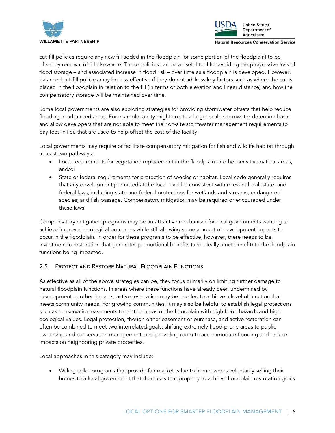



cut-fill policies require any new fill added in the floodplain (or some portion of the floodplain) to be offset by removal of fill elsewhere. These policies can be a useful tool for avoiding the progressive loss of flood storage – and associated increase in flood risk – over time as a floodplain is developed. However, balanced cut-fill policies may be less effective if they do not address key factors such as where the cut is placed in the floodplain in relation to the fill (in terms of both elevation and linear distance) and how the compensatory storage will be maintained over time.

Some local governments are also exploring strategies for providing stormwater offsets that help reduce flooding in urbanized areas. For example, a city might create a larger-scale stormwater detention basin and allow developers that are not able to meet their on-site stormwater management requirements to pay fees in lieu that are used to help offset the cost of the facility.

Local governments may require or facilitate compensatory mitigation for fish and wildlife habitat through at least two pathways:

- Local requirements for vegetation replacement in the floodplain or other sensitive natural areas, and/or
- State or federal requirements for protection of species or habitat. Local code generally requires that any development permitted at the local level be consistent with relevant local, state, and federal laws, including state and federal protections for wetlands and streams; endangered species; and fish passage. Compensatory mitigation may be required or encouraged under these laws.

Compensatory mitigation programs may be an attractive mechanism for local governments wanting to achieve improved ecological outcomes while still allowing some amount of development impacts to occur in the floodplain. In order for these programs to be effective, however, there needs to be investment in restoration that generates proportional benefits (and ideally a net benefit) to the floodplain functions being impacted.

#### 2.5 PROTECT AND RESTORE NATURAL FLOODPLAIN FUNCTIONS

As effective as all of the above strategies can be, they focus primarily on limiting further damage to natural floodplain functions. In areas where these functions have already been undermined by development or other impacts, active restoration may be needed to achieve a level of function that meets community needs. For growing communities, it may also be helpful to establish legal protections such as conservation easements to protect areas of the floodplain with high flood hazards and high ecological values. Legal protection, though either easement or purchase, and active restoration can often be combined to meet two interrelated goals: shifting extremely flood-prone areas to public ownership and conservation management, and providing room to accommodate flooding and reduce impacts on neighboring private properties.

Local approaches in this category may include:

• Willing seller programs that provide fair market value to homeowners voluntarily selling their homes to a local government that then uses that property to achieve floodplain restoration goals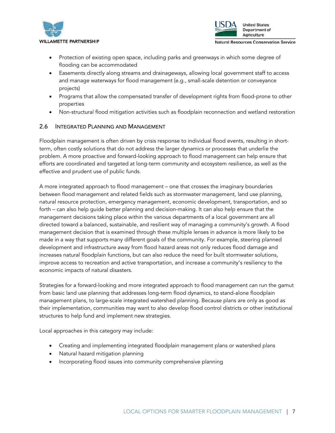



- Protection of existing open space, including parks and greenways in which some degree of flooding can be accommodated
- Easements directly along streams and drainageways, allowing local government staff to access and manage waterways for flood management (e.g., small-scale detention or conveyance projects)
- Programs that allow the compensated transfer of development rights from flood-prone to other properties
- Non-structural flood mitigation activities such as floodplain reconnection and wetland restoration

#### 2.6 INTEGRATED PLANNING AND MANAGEMENT

Floodplain management is often driven by crisis response to individual flood events, resulting in shortterm, often costly solutions that do not address the larger dynamics or processes that underlie the problem. A more proactive and forward-looking approach to flood management can help ensure that efforts are coordinated and targeted at long-term community and ecosystem resilience, as well as the effective and prudent use of public funds.

A more integrated approach to flood management – one that crosses the imaginary boundaries between flood management and related fields such as stormwater management, land use planning, natural resource protection, emergency management, economic development, transportation, and so forth – can also help guide better planning and decision-making. It can also help ensure that the management decisions taking place within the various departments of a local government are all directed toward a balanced, sustainable, and resilient way of managing a community's growth. A flood management decision that is examined through these multiple lenses in advance is more likely to be made in a way that supports many different goals of the community. For example, steering planned development and infrastructure away from flood hazard areas not only reduces flood damage and increases natural floodplain functions, but can also reduce the need for built stormwater solutions, improve access to recreation and active transportation, and increase a community's resiliency to the economic impacts of natural disasters.

Strategies for a forward-looking and more integrated approach to flood management can run the gamut from basic land use planning that addresses long-term flood dynamics, to stand-alone floodplain management plans, to large-scale integrated watershed planning. Because plans are only as good as their implementation, communities may want to also develop flood control districts or other institutional structures to help fund and implement new strategies.

Local approaches in this category may include:

- Creating and implementing integrated floodplain management plans or watershed plans
- Natural hazard mitigation planning
- Incorporating flood issues into community comprehensive planning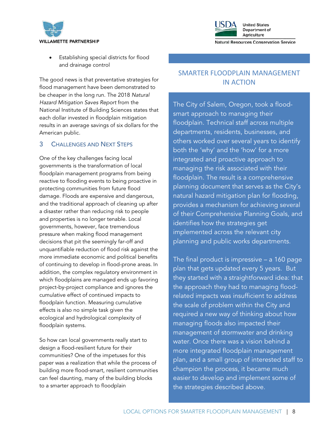



• Establishing special districts for flood and drainage control

The good news is that preventative strategies for flood management have been demonstrated to be cheaper in the long run. The 2018 *Natural Hazard Mitigation Saves Report* from the National Institute of Building Sciences states that each dollar invested in floodplain mitigation results in an average savings of six dollars for the American public.

#### 3 CHALLENGES AND NEXT STEPS

One of the key challenges facing local governments is the transformation of local floodplain management programs from being reactive to flooding events to being proactive in protecting communities from future flood damage. Floods are expensive and dangerous, and the traditional approach of cleaning up after a disaster rather than reducing risk to people and properties is no longer tenable. Local governments, however, face tremendous pressure when making flood management decisions that pit the seemingly far-off and unquantifiable reduction of flood risk against the more immediate economic and political benefits of continuing to develop in flood-prone areas. In addition, the complex regulatory environment in which floodplains are managed ends up favoring project-by-project compliance and ignores the cumulative effect of continued impacts to floodplain function. Measuring cumulative effects is also no simple task given the ecological and hydrological complexity of floodplain systems.

So how can local governments really start to design a flood-resilient future for their communities? One of the impetuses for this paper was a realization that while the process of building more flood-smart, resilient communities can feel daunting, many of the building blocks to a smarter approach to floodplain

### SMARTER FLOODPLAIN MANAGEMENT IN ACTION

The City of Salem, Oregon, took a floodsmart approach to managing their floodplain. Technical staff across multiple departments, residents, businesses, and others worked over several years to identify both the 'why' and the 'how' for a more integrated and proactive approach to managing the risk associated with their floodplain. The result is a comprehensive planning document that serves as the City's natural hazard mitigation plan for flooding, provides a mechanism for achieving several of their Comprehensive Planning Goals, and identifies how the strategies get implemented across the relevant city planning and public works departments.

The final product is impressive – a 160 page plan that gets updated every 5 years. But they started with a straightforward idea: that the approach they had to managing floodrelated impacts was insufficient to address the scale of problem within the City and required a new way of thinking about how managing floods also impacted their management of stormwater and drinking water. Once there was a vision behind a more integrated floodplain management plan, and a small group of interested staff to champion the process, it became much easier to develop and implement some of the strategies described above.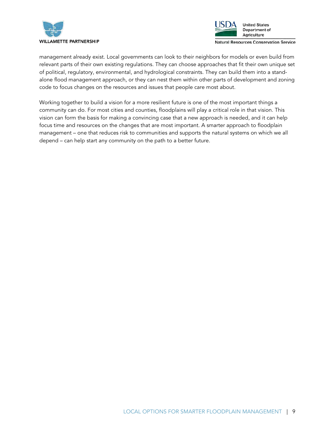



management already exist. Local governments can look to their neighbors for models or even build from relevant parts of their own existing regulations. They can choose approaches that fit their own unique set of political, regulatory, environmental, and hydrological constraints. They can build them into a standalone flood management approach, or they can nest them within other parts of development and zoning code to focus changes on the resources and issues that people care most about.

Working together to build a vision for a more resilient future is one of the most important things a community can do. For most cities and counties, floodplains will play a critical role in that vision. This vision can form the basis for making a convincing case that a new approach is needed, and it can help focus time and resources on the changes that are most important. A smarter approach to floodplain management – one that reduces risk to communities and supports the natural systems on which we all depend – can help start any community on the path to a better future.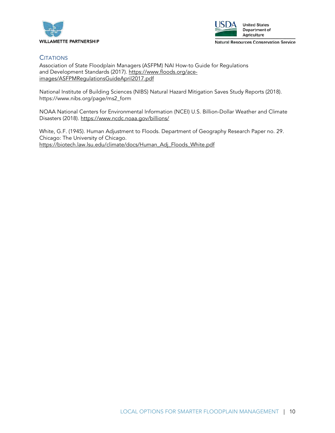



#### **CITATIONS**

Association of State Floodplain Managers (ASFPM) NAI How-to Guide for Regulations and Development Standards (2017). [https://www.floods.org/ace](https://www.floods.org/ace-images/ASFPMRegulationsGuideApril2017.pdf)[images/ASFPMRegulationsGuideApril2017.pdf](https://www.floods.org/ace-images/ASFPMRegulationsGuideApril2017.pdf)

National Institute of Building Sciences (NIBS) Natural Hazard Mitigation Saves Study Reports (2018). https://www.nibs.org/page/ms2\_form

NOAA National Centers for Environmental Information (NCEI) U.S. Billion-Dollar Weather and Climate Disasters (2018).<https://www.ncdc.noaa.gov/billions/>

White, G.F. (1945). Human Adjustment to Floods. Department of Geography Research Paper no. 29. Chicago: The University of Chicago. [https://biotech.law.lsu.edu/climate/docs/Human\\_Adj\\_Floods\\_White.pdf](https://biotech.law.lsu.edu/climate/docs/Human_Adj_Floods_White.pdf)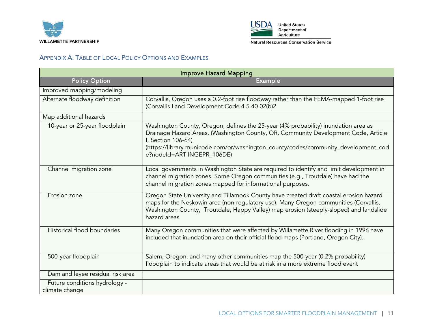



APPENDIX A: TABLE OF LOCAL POLICY OPTIONS AND EXAMPLES

| <b>Improve Hazard Mapping</b>                   |                                                                                                                                                                                                                                                                                                                    |
|-------------------------------------------------|--------------------------------------------------------------------------------------------------------------------------------------------------------------------------------------------------------------------------------------------------------------------------------------------------------------------|
| <b>Policy Option</b>                            | <b>Example</b>                                                                                                                                                                                                                                                                                                     |
| Improved mapping/modeling                       |                                                                                                                                                                                                                                                                                                                    |
| Alternate floodway definition                   | Corvallis, Oregon uses a 0.2-foot rise floodway rather than the FEMA-mapped 1-foot rise<br>(Corvallis Land Development Code 4.5.40.02(b)2                                                                                                                                                                          |
| Map additional hazards                          |                                                                                                                                                                                                                                                                                                                    |
| 10-year or 25-year floodplain                   | Washington County, Oregon, defines the 25-year (4% probability) inundation area as<br>Drainage Hazard Areas. (Washington County, OR, Community Development Code, Article<br>I, Section 106-64)<br>(https://library.municode.com/or/washington_county/codes/community_development_cod<br>e?nodeld=ARTIINGEPR_106DE) |
| Channel migration zone                          | Local governments in Washington State are required to identify and limit development in<br>channel migration zones. Some Oregon communities (e.g., Troutdale) have had the<br>channel migration zones mapped for informational purposes.                                                                           |
| Erosion zone                                    | Oregon State University and Tillamook County have created draft coastal erosion hazard<br>maps for the Neskowin area (non-regulatory use). Many Oregon communities (Corvallis,<br>Washington County, Troutdale, Happy Valley) map erosion (steeply-sloped) and landslide<br>hazard areas                           |
| Historical flood boundaries                     | Many Oregon communities that were affected by Willamette River flooding in 1996 have<br>included that inundation area on their official flood maps (Portland, Oregon City).                                                                                                                                        |
| 500-year floodplain                             | Salem, Oregon, and many other communities map the 500-year (0.2% probability)<br>floodplain to indicate areas that would be at risk in a more extreme flood event                                                                                                                                                  |
| Dam and levee residual risk area                |                                                                                                                                                                                                                                                                                                                    |
| Future conditions hydrology -<br>climate change |                                                                                                                                                                                                                                                                                                                    |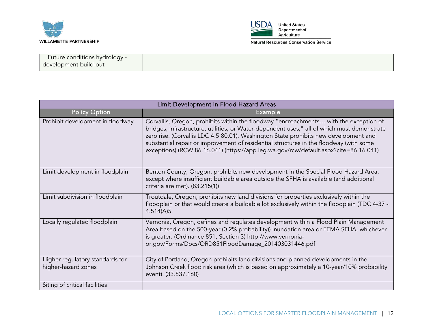



| Future conditions hydrology - |  |
|-------------------------------|--|
| development build-out         |  |
|                               |  |

| Limit Development in Flood Hazard Areas                |                                                                                                                                                                                                                                                                                                                                                                                                                                                                |
|--------------------------------------------------------|----------------------------------------------------------------------------------------------------------------------------------------------------------------------------------------------------------------------------------------------------------------------------------------------------------------------------------------------------------------------------------------------------------------------------------------------------------------|
| <b>Policy Option</b>                                   | Example                                                                                                                                                                                                                                                                                                                                                                                                                                                        |
| Prohibit development in floodway                       | Corvallis, Oregon, prohibits within the floodway "encroachments with the exception of<br>bridges, infrastructure, utilities, or Water-dependent uses," all of which must demonstrate<br>zero rise. (Corvallis LDC 4.5.80.01). Washington State prohibits new development and<br>substantial repair or improvement of residential structures in the floodway (with some<br>exceptions) (RCW 86.16.041) (https://app.leg.wa.gov/rcw/default.aspx?cite=86.16.041) |
| Limit development in floodplain                        | Benton County, Oregon, prohibits new development in the Special Flood Hazard Area,<br>except where insufficient buildable area outside the SFHA is available (and additional<br>criteria are met). (83.215(1))                                                                                                                                                                                                                                                 |
| Limit subdivision in floodplain                        | Troutdale, Oregon, prohibits new land divisions for properties exclusively within the<br>floodplain or that would create a buildable lot exclusively within the floodplain (TDC 4-37 -<br>4.514(A)5.                                                                                                                                                                                                                                                           |
| Locally regulated floodplain                           | Vernonia, Oregon, defines and regulates development within a Flood Plain Management<br>Area based on the 500-year (0.2% probability)) inundation area or FEMA SFHA, whichever<br>is greater. (Ordinance 851, Section 3) http://www.vernonia-<br>or.gov/Forms/Docs/ORD851FloodDamage_201403031446.pdf                                                                                                                                                           |
| Higher regulatory standards for<br>higher-hazard zones | City of Portland, Oregon prohibits land divisions and planned developments in the<br>Johnson Creek flood risk area (which is based on approximately a 10-year/10% probability<br>event). (33.537.160)                                                                                                                                                                                                                                                          |
| Siting of critical facilities                          |                                                                                                                                                                                                                                                                                                                                                                                                                                                                |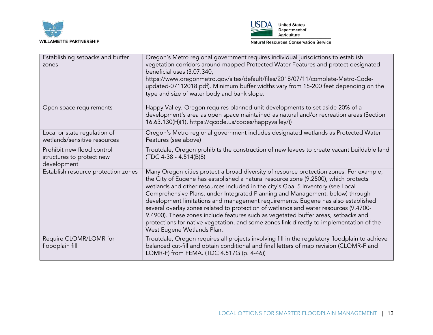



| Establishing setbacks and buffer<br>zones                              | Oregon's Metro regional government requires individual jurisdictions to establish<br>vegetation corridors around mapped Protected Water Features and protect designated<br>beneficial uses (3.07.340,<br>https://www.oregonmetro.gov/sites/default/files/2018/07/11/complete-Metro-Code-<br>updated-07112018.pdf). Minimum buffer widths vary from 15-200 feet depending on the<br>type and size of water body and bank slope.                                                                                                                                                                                                                                                                                                                 |
|------------------------------------------------------------------------|------------------------------------------------------------------------------------------------------------------------------------------------------------------------------------------------------------------------------------------------------------------------------------------------------------------------------------------------------------------------------------------------------------------------------------------------------------------------------------------------------------------------------------------------------------------------------------------------------------------------------------------------------------------------------------------------------------------------------------------------|
| Open space requirements                                                | Happy Valley, Oregon requires planned unit developments to set aside 20% of a<br>development's area as open space maintained as natural and/or recreation areas (Section<br>16.63.130(H)(1), https://qcode.us/codes/happyvalley/))                                                                                                                                                                                                                                                                                                                                                                                                                                                                                                             |
| Local or state regulation of<br>wetlands/sensitive resources           | Oregon's Metro regional government includes designated wetlands as Protected Water<br>Features (see above)                                                                                                                                                                                                                                                                                                                                                                                                                                                                                                                                                                                                                                     |
| Prohibit new flood control<br>structures to protect new<br>development | Troutdale, Oregon prohibits the construction of new levees to create vacant buildable land<br>$(TDC 4-38 - 4.514(B)8)$                                                                                                                                                                                                                                                                                                                                                                                                                                                                                                                                                                                                                         |
| Establish resource protection zones                                    | Many Oregon cities protect a broad diversity of resource protection zones. For example,<br>the City of Eugene has established a natural resource zone (9.2500), which protects<br>wetlands and other resources included in the city's Goal 5 Inventory (see Local<br>Comprehensive Plans, under Integrated Planning and Management, below) through<br>development limitations and management requirements. Eugene has also established<br>several overlay zones related to protection of wetlands and water resources (9.4700-<br>9.4900). These zones include features such as vegetated buffer areas, setbacks and<br>protections for native vegetation, and some zones link directly to implementation of the<br>West Eugene Wetlands Plan. |
| Require CLOMR/LOMR for<br>floodplain fill                              | Troutdale, Oregon requires all projects involving fill in the regulatory floodplain to achieve<br>balanced cut-fill and obtain conditional and final letters of map revision (CLOMR-F and<br>LOMR-F) from FEMA. (TDC 4.517G (p. 4-46))                                                                                                                                                                                                                                                                                                                                                                                                                                                                                                         |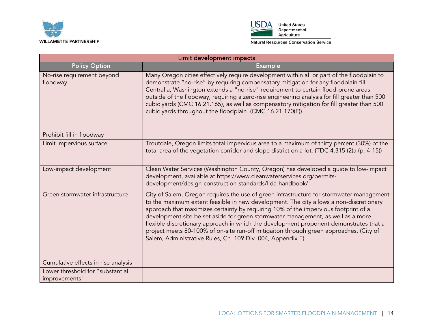



| Limit development impacts                         |                                                                                                                                                                                                                                                                                                                                                                                                                                                                                                                                                                                                                 |
|---------------------------------------------------|-----------------------------------------------------------------------------------------------------------------------------------------------------------------------------------------------------------------------------------------------------------------------------------------------------------------------------------------------------------------------------------------------------------------------------------------------------------------------------------------------------------------------------------------------------------------------------------------------------------------|
| <b>Policy Option</b>                              | <b>Example</b>                                                                                                                                                                                                                                                                                                                                                                                                                                                                                                                                                                                                  |
| No-rise requirement beyond<br>floodway            | Many Oregon cities effectively require development within all or part of the floodplain to<br>demonstrate "no-rise" by requiring compensatory mitigation for any floodplain fill.<br>Centralia, Washington extends a "no-rise" requirement to certain flood-prone areas<br>outside of the floodway, requiring a zero-rise engineering analysis for fill greater than 500<br>cubic yards (CMC 16.21.165), as well as compensatory mitigation for fill greater than 500<br>cubic yards throughout the floodplain (CMC 16.21.170(F)).                                                                              |
| Prohibit fill in floodway                         |                                                                                                                                                                                                                                                                                                                                                                                                                                                                                                                                                                                                                 |
| Limit impervious surface                          | Troutdale, Oregon limits total impervious area to a maximum of thirty percent (30%) of the<br>total area of the vegetation corridor and slope district on a lot. (TDC 4.315 (2)a (p. 4-15))                                                                                                                                                                                                                                                                                                                                                                                                                     |
| Low-impact development                            | Clean Water Services (Washington County, Oregon) has developed a guide to low-impact<br>development, available at https://www.cleanwaterservices.org/permits-<br>development/design-construction-standards/lida-handbook/                                                                                                                                                                                                                                                                                                                                                                                       |
| Green stormwater infrastructure                   | City of Salem, Oregon requires the use of green infrastructure for stormwater management<br>to the maximum extent feasible in new development. The city allows a non-discretionary<br>approach that maximizes certainty by requiring 10% of the impervious footprint of a<br>development site be set aside for green stormwater management, as well as a more<br>flexible discretionary approach in which the development proponent demonstrates that a<br>project meets 80-100% of on-site run-off mitigaiton through green approaches. (City of<br>Salem, Administrative Rules, Ch. 109 Div. 004, Appendix E) |
| Cumulative effects in rise analysis               |                                                                                                                                                                                                                                                                                                                                                                                                                                                                                                                                                                                                                 |
| Lower threshold for "substantial<br>improvements" |                                                                                                                                                                                                                                                                                                                                                                                                                                                                                                                                                                                                                 |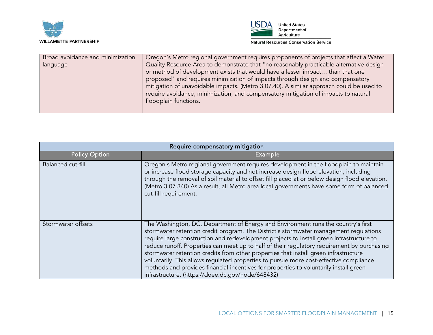



| Broad avoidance and minimization<br>language | Oregon's Metro regional government requires proponents of projects that affect a Water<br>Quality Resource Area to demonstrate that "no reasonably practicable alternative design<br>or method of development exists that would have a lesser impact than that one<br>proposed" and requires minimization of impacts through design and compensatory<br>mitigation of unavoidable impacts. (Metro 3.07.40). A similar approach could be used to<br>require avoidance, minimization, and compensatory mitigation of impacts to natural<br>floodplain functions. |
|----------------------------------------------|----------------------------------------------------------------------------------------------------------------------------------------------------------------------------------------------------------------------------------------------------------------------------------------------------------------------------------------------------------------------------------------------------------------------------------------------------------------------------------------------------------------------------------------------------------------|
|----------------------------------------------|----------------------------------------------------------------------------------------------------------------------------------------------------------------------------------------------------------------------------------------------------------------------------------------------------------------------------------------------------------------------------------------------------------------------------------------------------------------------------------------------------------------------------------------------------------------|

| Require compensatory mitigation |                                                                                                                                                                                                                                                                                                                                                                                                                                                                                                                                                                                                                                                                                                       |
|---------------------------------|-------------------------------------------------------------------------------------------------------------------------------------------------------------------------------------------------------------------------------------------------------------------------------------------------------------------------------------------------------------------------------------------------------------------------------------------------------------------------------------------------------------------------------------------------------------------------------------------------------------------------------------------------------------------------------------------------------|
| <b>Policy Option</b>            | Example                                                                                                                                                                                                                                                                                                                                                                                                                                                                                                                                                                                                                                                                                               |
| Balanced cut-fill               | Oregon's Metro regional government requires development in the floodplain to maintain<br>or increase flood storage capacity and not increase design flood elevation, including<br>through the removal of soil material to offset fill placed at or below design flood elevation.<br>(Metro 3.07.340) As a result, all Metro area local governments have some form of balanced<br>cut-fill requirement.                                                                                                                                                                                                                                                                                                |
| Stormwater offsets              | The Washington, DC, Department of Energy and Environment runs the country's first<br>stormwater retention credit program. The District's stormwater management requlations<br>require large construction and redevelopment projects to install green infrastructure to<br>reduce runoff. Properties can meet up to half of their regulatory requirement by purchasing<br>stormwater retention credits from other properties that install green infrastructure<br>voluntarily. This allows regulated properties to pursue more cost-effective compliance<br>methods and provides financial incentives for properties to voluntarily install green<br>infrastructure. (https://doee.dc.gov/node/648432) |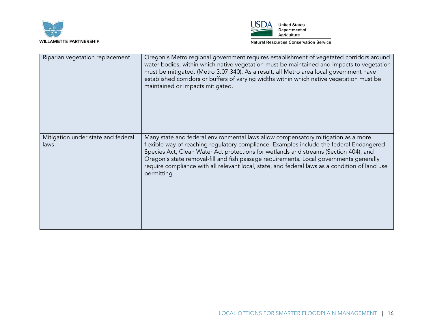



| Riparian vegetation replacement            | Oregon's Metro regional government requires establishment of vegetated corridors around<br>water bodies, within which native vegetation must be maintained and impacts to vegetation<br>must be mitigated. (Metro 3.07.340). As a result, all Metro area local government have<br>established corridors or buffers of varying widths within which native vegetation must be<br>maintained or impacts mitigated.                                                  |
|--------------------------------------------|------------------------------------------------------------------------------------------------------------------------------------------------------------------------------------------------------------------------------------------------------------------------------------------------------------------------------------------------------------------------------------------------------------------------------------------------------------------|
| Mitigation under state and federal<br>laws | Many state and federal environmental laws allow compensatory mitigation as a more<br>flexible way of reaching regulatory compliance. Examples include the federal Endangered<br>Species Act, Clean Water Act protections for wetlands and streams (Section 404), and<br>Oregon's state removal-fill and fish passage requirements. Local governments generally<br>require compliance with all relevant local, state, and federal laws as a condition of land use |
|                                            | permitting.                                                                                                                                                                                                                                                                                                                                                                                                                                                      |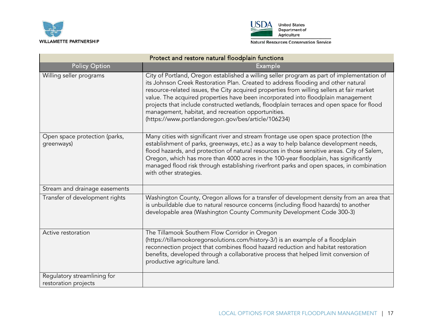



| Protect and restore natural floodplain functions    |                                                                                                                                                                                                                                                                                                                                                                                                                                                                                                                                                                           |
|-----------------------------------------------------|---------------------------------------------------------------------------------------------------------------------------------------------------------------------------------------------------------------------------------------------------------------------------------------------------------------------------------------------------------------------------------------------------------------------------------------------------------------------------------------------------------------------------------------------------------------------------|
| <b>Policy Option</b>                                | Example                                                                                                                                                                                                                                                                                                                                                                                                                                                                                                                                                                   |
| Willing seller programs                             | City of Portland, Oregon established a willing seller program as part of implementation of<br>its Johnson Creek Restoration Plan. Created to address flooding and other natural<br>resource-related issues, the City acquired properties from willing sellers at fair market<br>value. The acquired properties have been incorporated into floodplain management<br>projects that include constructed wetlands, floodplain terraces and open space for flood<br>management, habitat, and recreation opportunities.<br>(https://www.portlandoregon.gov/bes/article/106234) |
| Open space protection (parks,<br>greenways)         | Many cities with significant river and stream frontage use open space protection (the<br>establishment of parks, greenways, etc.) as a way to help balance development needs,<br>flood hazards, and protection of natural resources in those sensitive areas. City of Salem,<br>Oregon, which has more than 4000 acres in the 100-year floodplain, has significantly<br>managed flood risk through establishing riverfront parks and open spaces, in combination<br>with other strategies.                                                                                |
| Stream and drainage easements                       |                                                                                                                                                                                                                                                                                                                                                                                                                                                                                                                                                                           |
| Transfer of development rights                      | Washington County, Oregon allows for a transfer of development density from an area that<br>is unbuildable due to natural resource concerns (including flood hazards) to another<br>developable area (Washington County Community Development Code 300-3)                                                                                                                                                                                                                                                                                                                 |
| Active restoration                                  | The Tillamook Southern Flow Corridor in Oregon<br>(https://tillamookoregonsolutions.com/history-3/) is an example of a floodplain<br>reconnection project that combines flood hazard reduction and habitat restoration<br>benefits, developed through a collaborative process that helped limit conversion of<br>productive agriculture land.                                                                                                                                                                                                                             |
| Regulatory streamlining for<br>restoration projects |                                                                                                                                                                                                                                                                                                                                                                                                                                                                                                                                                                           |